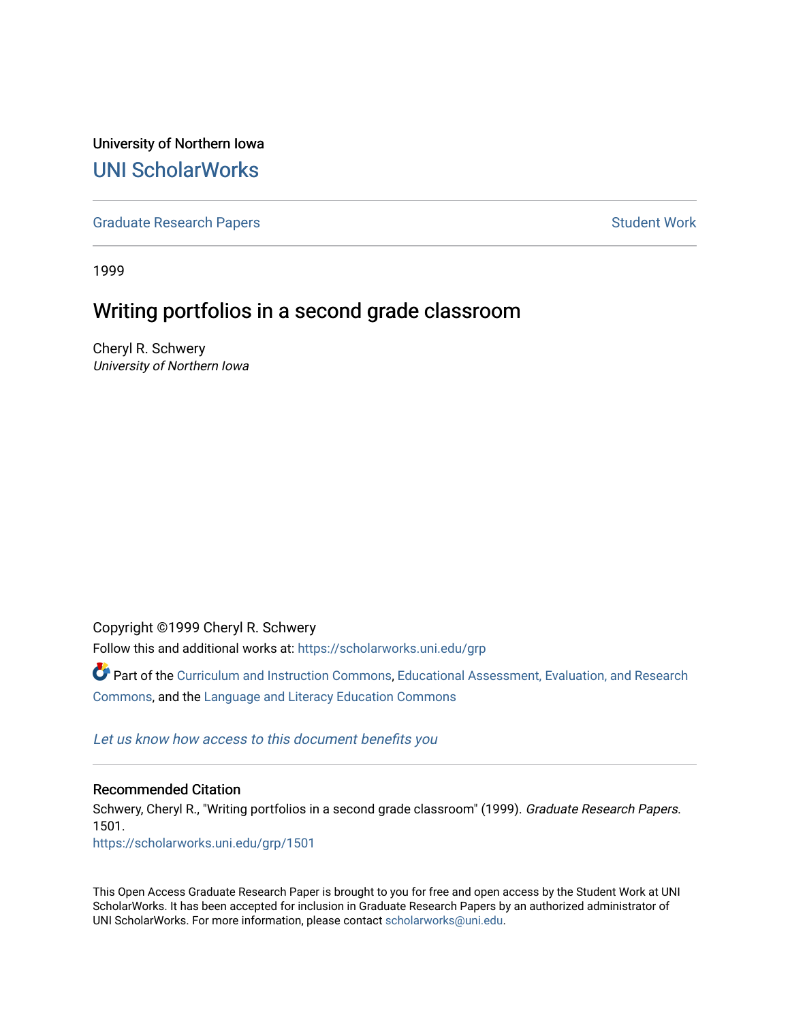University of Northern Iowa [UNI ScholarWorks](https://scholarworks.uni.edu/) 

[Graduate Research Papers](https://scholarworks.uni.edu/grp) **Student Work** Student Work

1999

# Writing portfolios in a second grade classroom

Cheryl R. Schwery University of Northern Iowa

Copyright ©1999 Cheryl R. Schwery

Follow this and additional works at: [https://scholarworks.uni.edu/grp](https://scholarworks.uni.edu/grp?utm_source=scholarworks.uni.edu%2Fgrp%2F1501&utm_medium=PDF&utm_campaign=PDFCoverPages) 

Part of the [Curriculum and Instruction Commons,](http://network.bepress.com/hgg/discipline/786?utm_source=scholarworks.uni.edu%2Fgrp%2F1501&utm_medium=PDF&utm_campaign=PDFCoverPages) [Educational Assessment, Evaluation, and Research](http://network.bepress.com/hgg/discipline/796?utm_source=scholarworks.uni.edu%2Fgrp%2F1501&utm_medium=PDF&utm_campaign=PDFCoverPages)  [Commons](http://network.bepress.com/hgg/discipline/796?utm_source=scholarworks.uni.edu%2Fgrp%2F1501&utm_medium=PDF&utm_campaign=PDFCoverPages), and the [Language and Literacy Education Commons](http://network.bepress.com/hgg/discipline/1380?utm_source=scholarworks.uni.edu%2Fgrp%2F1501&utm_medium=PDF&utm_campaign=PDFCoverPages) 

[Let us know how access to this document benefits you](https://scholarworks.uni.edu/feedback_form.html) 

#### Recommended Citation

Schwery, Cheryl R., "Writing portfolios in a second grade classroom" (1999). Graduate Research Papers. 1501. [https://scholarworks.uni.edu/grp/1501](https://scholarworks.uni.edu/grp/1501?utm_source=scholarworks.uni.edu%2Fgrp%2F1501&utm_medium=PDF&utm_campaign=PDFCoverPages) 

This Open Access Graduate Research Paper is brought to you for free and open access by the Student Work at UNI ScholarWorks. It has been accepted for inclusion in Graduate Research Papers by an authorized administrator of UNI ScholarWorks. For more information, please contact [scholarworks@uni.edu.](mailto:scholarworks@uni.edu)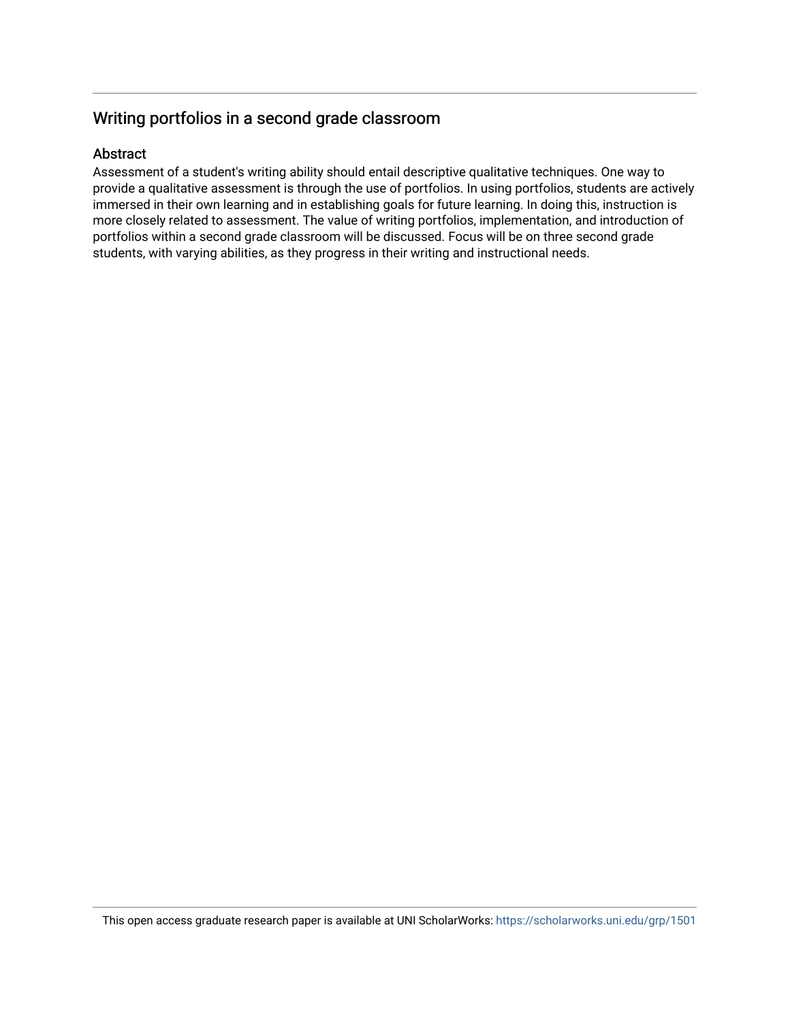# Writing portfolios in a second grade classroom

# Abstract

Assessment of a student's writing ability should entail descriptive qualitative techniques. One way to provide a qualitative assessment is through the use of portfolios. In using portfolios, students are actively immersed in their own learning and in establishing goals for future learning. In doing this, instruction is more closely related to assessment. The value of writing portfolios, implementation, and introduction of portfolios within a second grade classroom will be discussed. Focus will be on three second grade students, with varying abilities, as they progress in their writing and instructional needs.

This open access graduate research paper is available at UNI ScholarWorks: <https://scholarworks.uni.edu/grp/1501>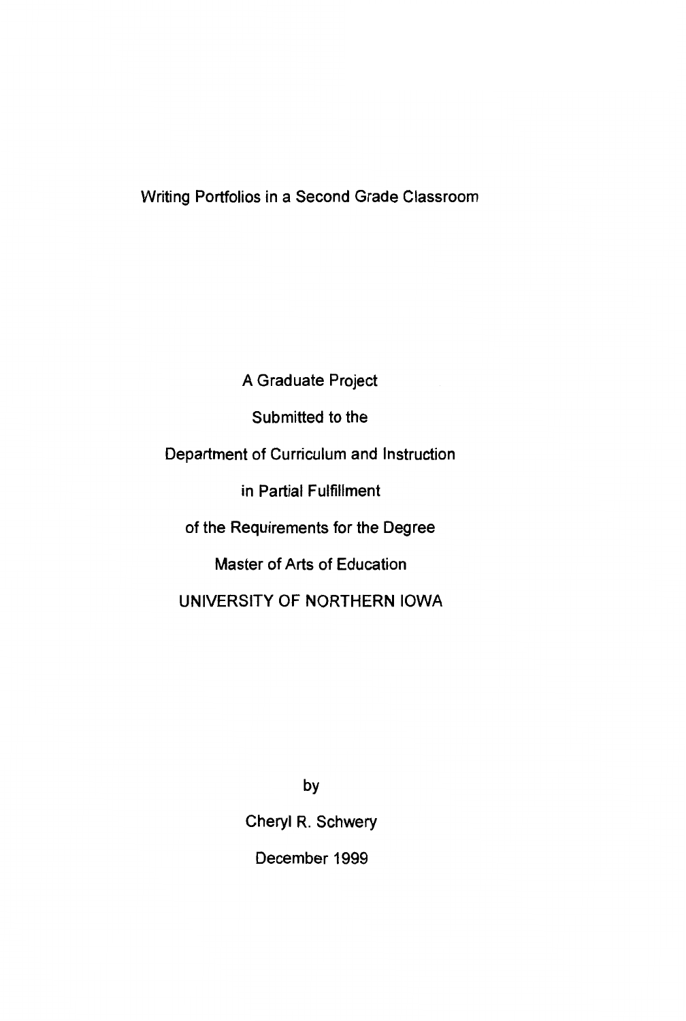# Writing Portfolios in a Second Grade Classroom

A Graduate Project Submitted to the Department of Curriculum and Instruction in Partial Fulfillment of the Requirements for the Degree Master of Arts of Education UNIVERSITY OF NORTHERN IOWA

> by Cheryl R. Schwery December 1999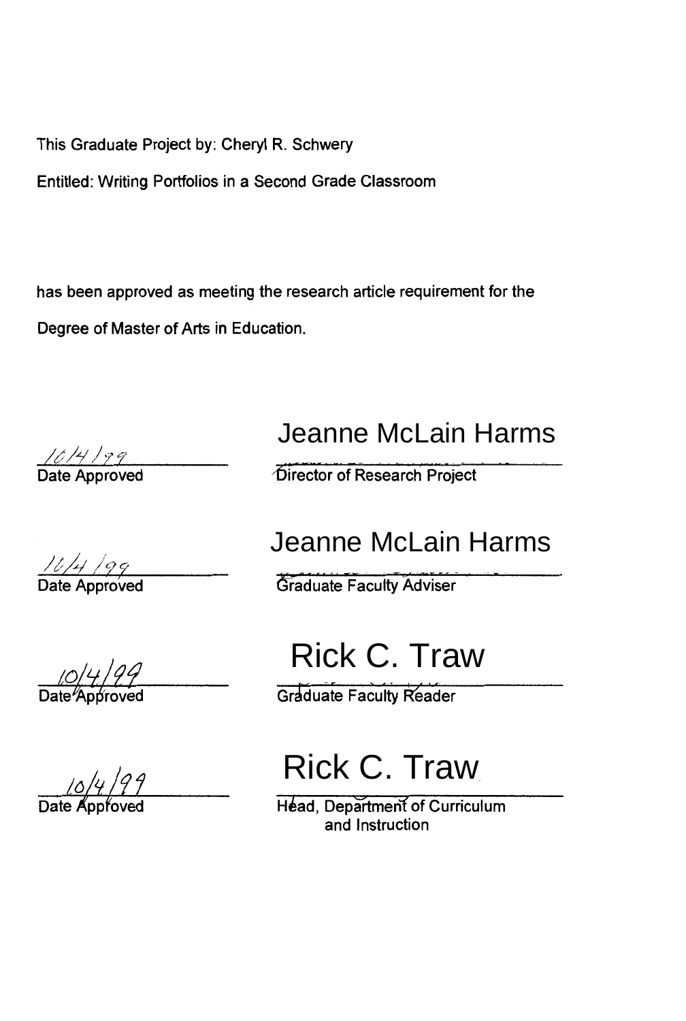This Graduate Project by: Cheryl R. Schwery

Entitled: Writing Portfolios in a Second Grade Classroom

has been approved as meeting the research article requirement for the Degree of Master of Arts in Education.

 $\frac{\sqrt{\delta/4/\gamma}}{2}$ Date Approved

 $\frac{10/4}{29}$ 

Date <del>⁄</del>Approved

Jeanne McLain Harms

Director of Research Project

# Jeanne McLain Harms

**Graduate Faculty Adviser** 

# Rick C. Traw

**Graduate Faculty Reader** 

# Rick C. Traw

Head, Department of Curriculum and Instruction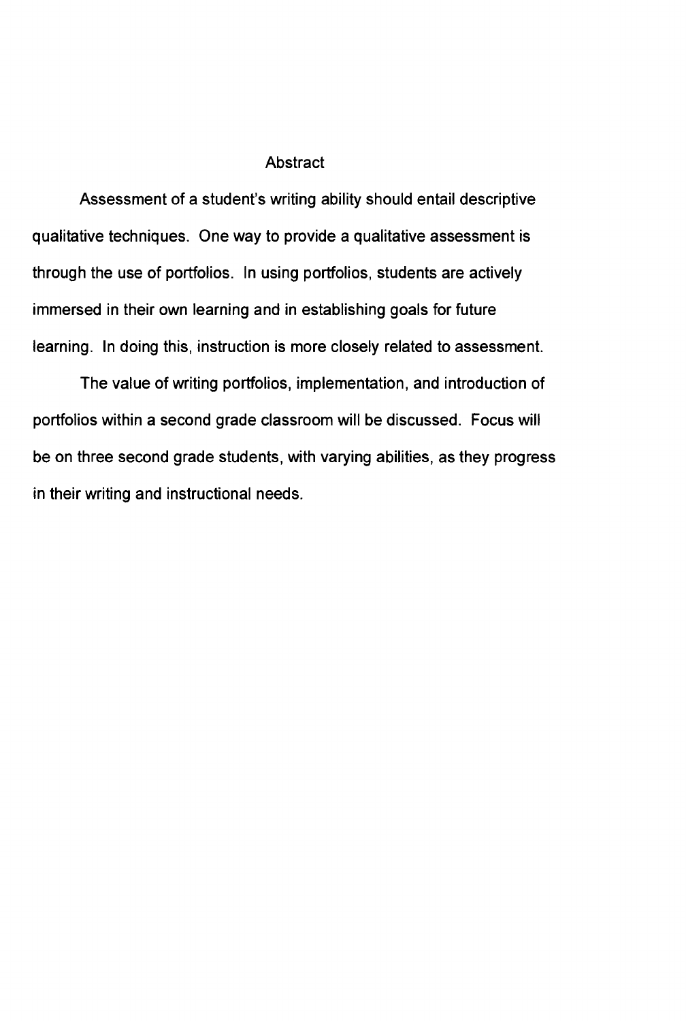### Abstract

Assessment of a student's writing ability should entail descriptive qualitative techniques. One way to provide a qualitative assessment is through the use of portfolios. In using portfolios, students are actively immersed in their own learning and in establishing goals for future learning. In doing this, instruction is more closely related to assessment.

The value of writing portfolios, implementation, and introduction of portfolios within a second grade classroom will be discussed. Focus will be on three second grade students, with varying abilities, as they progress in their writing and instructional needs.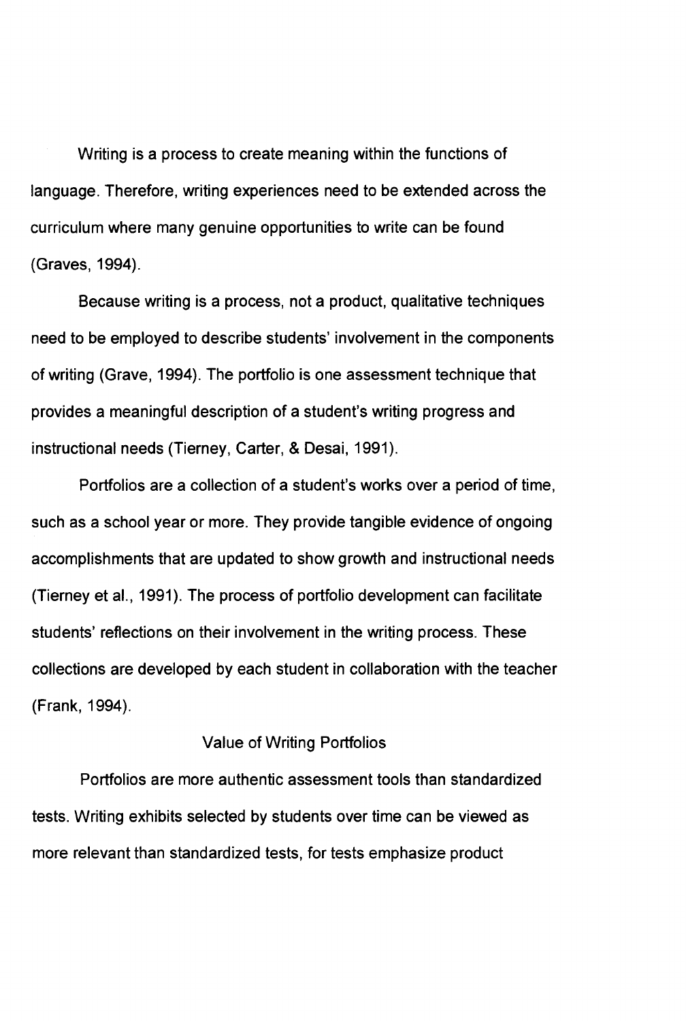Writing is a process to create meaning within the functions of language. Therefore, writing experiences need to be extended across the curriculum where many genuine opportunities to write can be found (Graves, 1994).

Because writing is a process, not a product, qualitative techniques need to be employed to describe students' involvement in the components of writing (Grave, 1994). The portfolio is one assessment technique that provides a meaningful description of a student's writing progress and instructional needs (Tierney, Carter, & Desai, 1991).

Portfolios are a collection of a student's works over a period of time, such as a school year or more. They provide tangible evidence of ongoing accomplishments that are updated to show growth and instructional needs (Tierney et al., 1991). The process of portfolio development can facilitate students' reflections on their involvement in the writing process. These collections are developed by each student in collaboration with the teacher (Frank, 1994).

# Value of Writing Portfolios

Portfolios are more authentic assessment tools than standardized tests. Writing exhibits selected by students over time can be viewed as more relevant than standardized tests, for tests emphasize product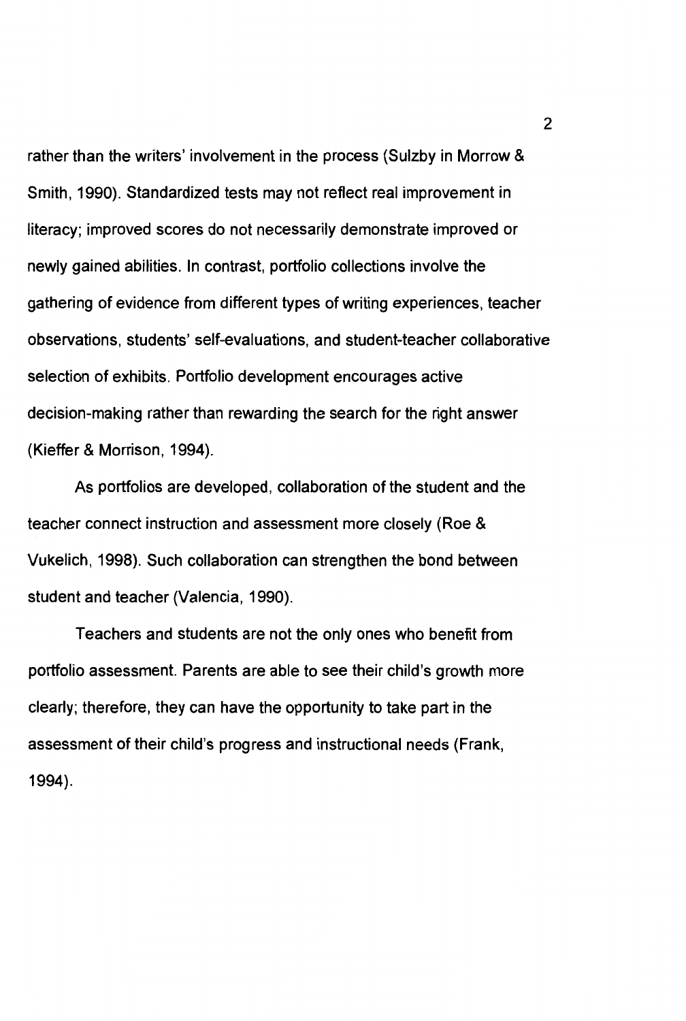rather than the writers' involvement in the process (Sulzby in Morrow & Smith, 1990). Standardized tests may not reflect real improvement in literacy; improved scores do not necessarily demonstrate improved or newly gained abilities. In contrast, portfolio collections involve the gathering of evidence from different types of writing experiences, teacher observations, students' self-evaluations, and student-teacher collaborative selection of exhibits. Portfolio development encourages active decision-making rather than rewarding the search for the right answer (Kieffer & Morrison, 1994).

As portfolios are developed, collaboration of the student and the teacher connect instruction and assessment more closely (Roe & Vukelich, 1998). Such collaboration can strengthen the bond between student and teacher (Valencia, 1990).

Teachers and students are not the only ones who benefit from portfolio assessment. Parents are able to see their child's growth more clearly; therefore, they can have the opportunity to take part in the assessment of their child's progress and instructional needs (Frank, 1994).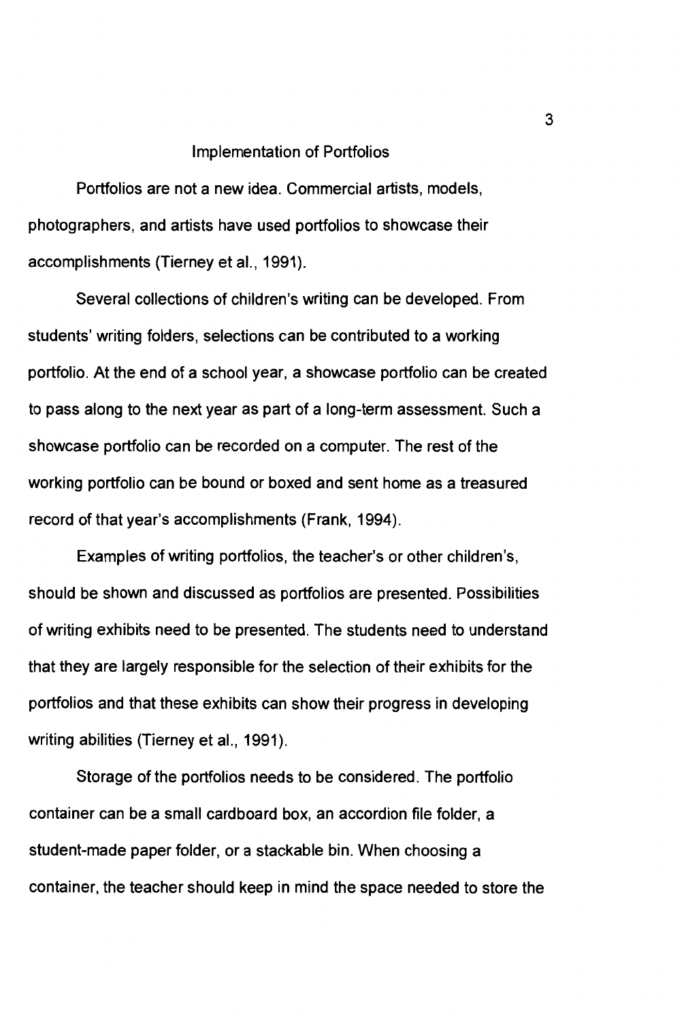#### Implementation of Portfolios

Portfolios are not a new idea. Commercial artists, models, photographers, and artists have used portfolios to showcase their accomplishments (Tierney et al., 1991).

Several collections of children's writing can be developed. From students' writing folders, selections can be contributed to a working portfolio. At the end of a school year, a showcase portfolio can be created to pass along to the next year as part of a long-term assessment. Such a showcase portfolio can be recorded on a computer. The rest of the working portfolio can be bound or boxed and sent home as a treasured record of that year's accomplishments (Frank, 1994).

Examples of writing portfolios, the teacher's or other children's, should be shown and discussed as portfolios are presented. Possibilities of writing exhibits need to be presented. The students need to understand that they are largely responsible for the selection of their exhibits for the portfolios and that these exhibits can show their progress in developing writing abilities (Tierney et al., 1991).

Storage of the portfolios needs to be considered. The portfolio container can be a small cardboard box, an accordion file folder, a student-made paper folder, or a stackable bin. When choosing a container, the teacher should keep in mind the space needed to store the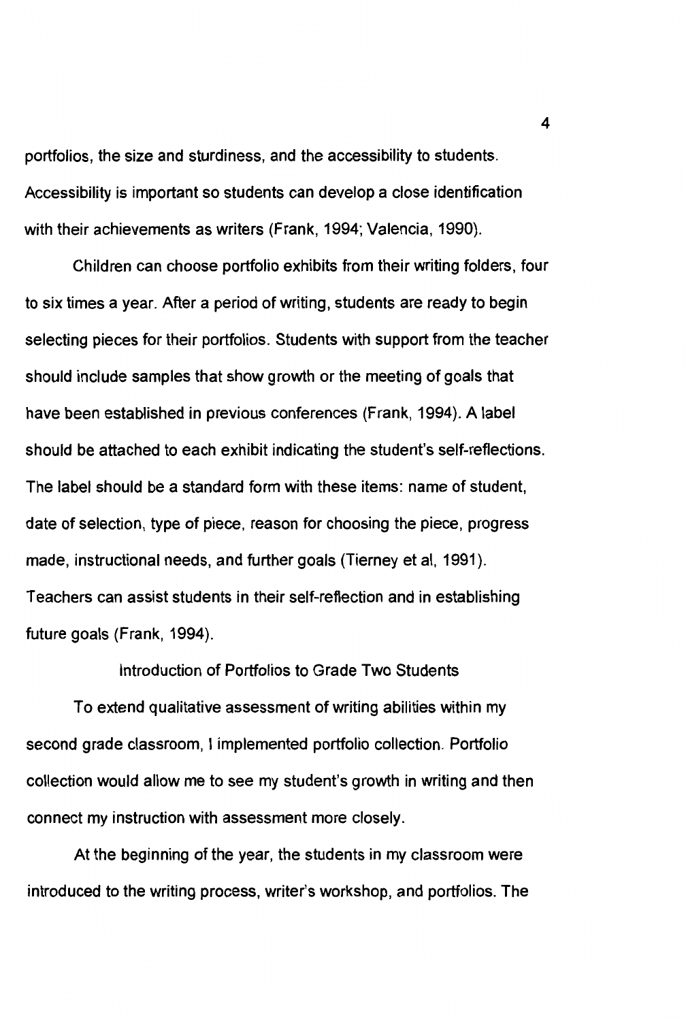portfolios, the size and sturdiness, and the accessibility to students. Accessibility is important so students can develop a close identification with their achievements as writers (Frank, 1994; Valencia, 1990).

Children can choose portfolio exhibits from their writing folders, four to six times a year. After a period of writing, students are ready to begin selecting pieces for their portfolios. Students with support from the teacher should include samples that show growth or the meeting of goals that have been established in previous conferences (Frank, 1994). A label should be attached to each exhibit indicating the student's self-reflections. The label should be a standard form with these items: name of student, date of selection, type of piece, reason for choosing the piece, progress made, instructional needs, and further goals (Tierney et al, 1991). Teachers can assist students in their self-reflection and in establishing future goals (Frank, 1994).

To extend qualitative assessment of writing abilities within my second grade classroom, I implemented portfolio collection. Portfolio collection would allow me to see my student's growth in writing and then connect my instruction with assessment more closely.

Introduction of Portfolios to Grade Two Students

At the beginning of the year, the students in my classroom were introduced to the writing process, writer's workshop, and portfolios. The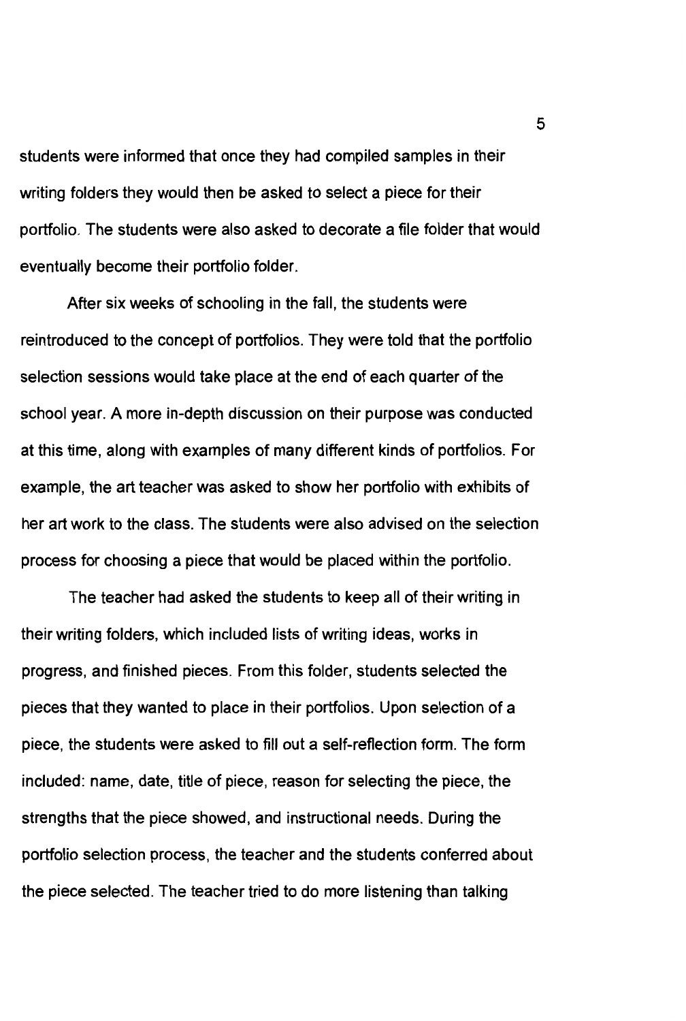students were informed that once they had compiled samples in their writing folders they would then be asked to select a piece for their portfolio. The students were also asked to decorate a file folder that would eventually become their portfolio folder.

After six weeks of schooling in the fall, the students were reintroduced to the concept of portfolios. They were told that the portfolio selection sessions would take place at the end of each quarter of the school year. A more in-depth discussion on their purpose was conducted at this time, along with examples of many different kinds of portfolios. For example, the art teacher was asked to show her portfolio with exhibits of her art work to the class. The students were also advised on the selection process for choosing a piece that would be placed within the portfolio.

The teacher had asked the students to keep all of their writing in their writing folders, which included lists of writing ideas, works in progress, and finished pieces. From this folder, students selected the pieces that they wanted to place in their portfolios. Upon selection of a piece, the students were asked to fill out a self-reflection form. The form included: name, date, title of piece, reason for selecting the piece, the strengths that the piece showed, and instructional needs. During the portfolio selection process, the teacher and the students conferred about the piece selected. The teacher tried to do more listening than talking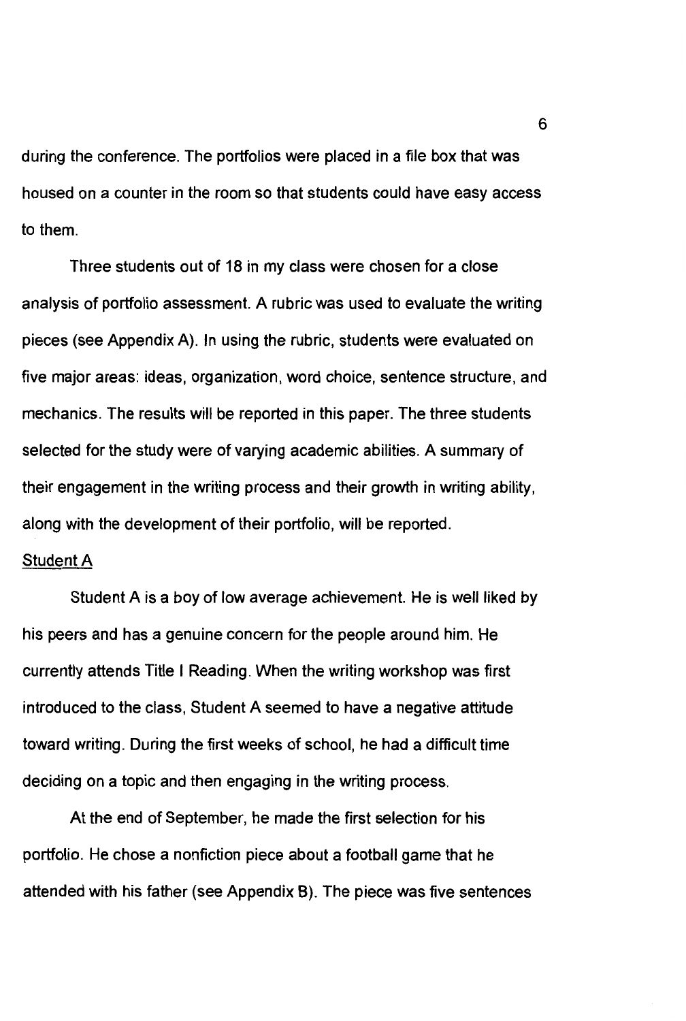during the conference. The portfolios were placed in a file box that was housed on a counter in the room so that students could have easy access to them.

Three students out of 18 in my class were chosen for a close analysis of portfolio assessment. A rubric was used to evaluate the writing pieces (see Appendix A). In using the rubric, students were evaluated on five major areas: ideas, organization, word choice, sentence structure, and mechanics. The results will be reported in this paper. The three students selected for the study were of varying academic abilities. A summary of their engagement in the writing process and their growth in writing ability, along with the development of their portfolio, will be reported.

# Student A

Student A is a boy of low average achievement. He is well liked by his peers and has a genuine concern for the people around him. He currently attends Title I Reading. When the writing workshop was first introduced to the class, Student A seemed to have a negative attitude toward writing. During the first weeks of school, he had a difficult time deciding on a topic and then engaging in the writing process.

At the end of September, he made the first selection for his portfolio. He chose a nonfiction piece about a football game that he attended with his father (see Appendix 8). The piece was five sentences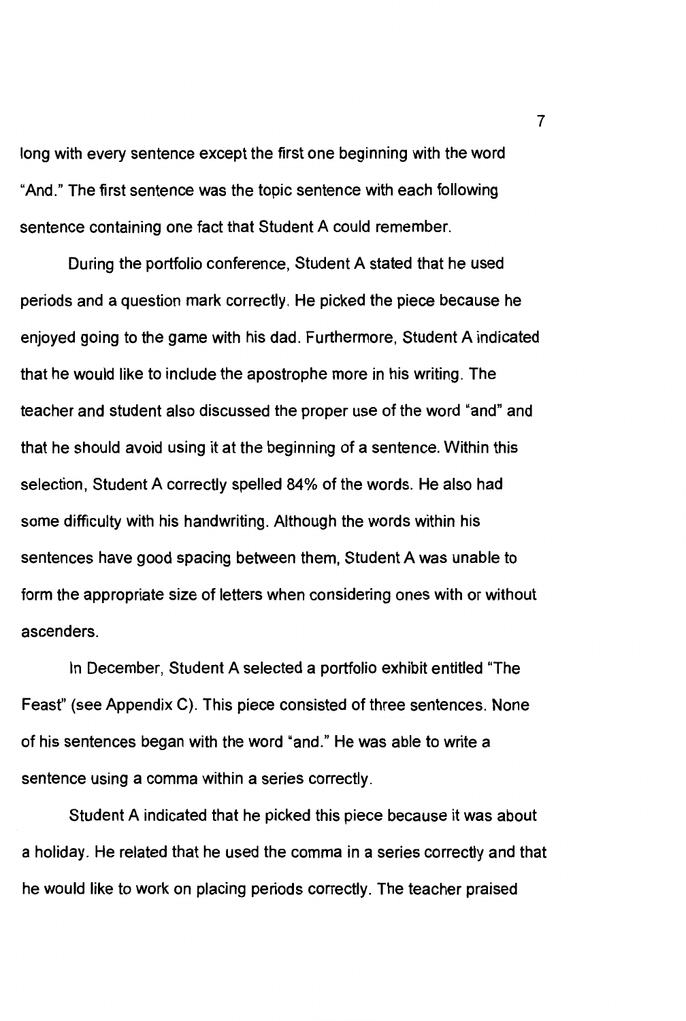long with every sentence except the first one beginning with the word "And." The first sentence was the topic sentence with each following sentence containing one fact that Student A could remember.

During the portfolio conference, Student A stated that he used periods and a question mark correctly. He picked the piece because he enjoyed going to the game with his dad. Furthermore, Student A indicated that he would like to include the apostrophe more in his writing. The teacher and student also discussed the proper use of the word "and" and that he should avoid using it at the beginning of a sentence. Within this selection, Student A correctly spelled 84% of the words. He also had some difficulty with his handwriting. Although the words within his sentences have good spacing between them, Student A was unable to form the appropriate size of letters when considering ones with or without ascenders.

In December, Student A selected a portfolio exhibit entitled 'The Feast" (see Appendix C). This piece consisted of three sentences. None of his sentences began with the word "and." He was able to write a sentence using a comma within a series correctly.

Student A indicated that he picked this piece because it was about a holiday. He related that he used the comma in a series correctly and that he would like to work on placing periods correctly. The teacher praised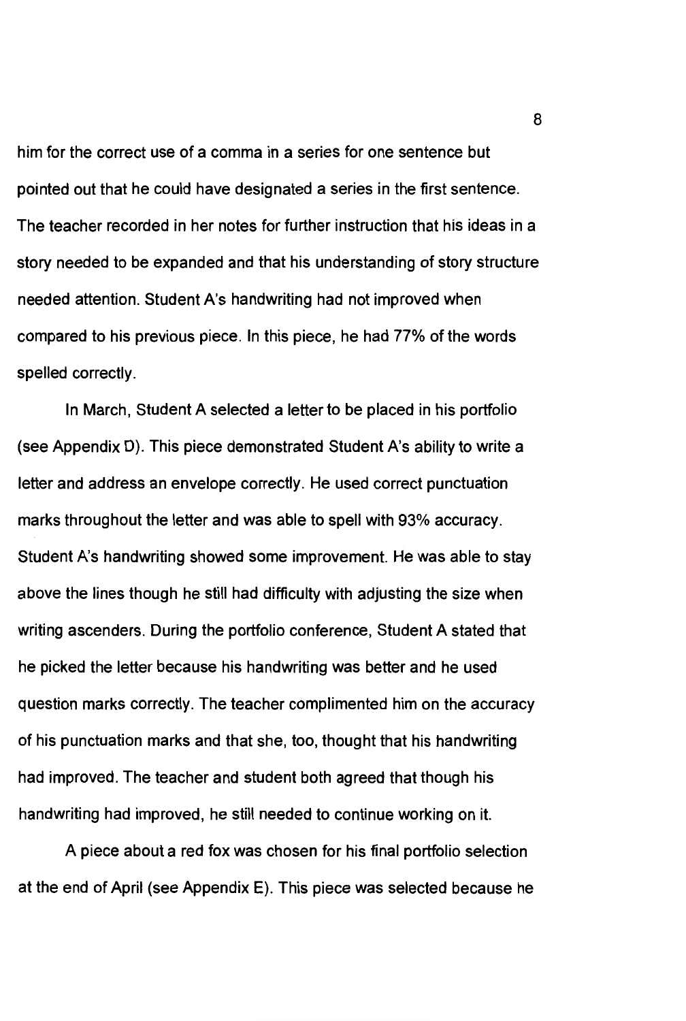him for the correct use of a comma in a series for one sentence but pointed out that he could have designated a series in the first sentence. The teacher recorded in her notes for further instruction that his ideas in a story needed to be expanded and that his understanding of story structure needed attention. Student A's handwriting had not improved when compared to his previous piece. In this piece, he had 77% of the words spelled correctly.

In March, Student A selected a letter to be placed in his portfolio (see Appendix D). This piece demonstrated Student A's ability to write a letter and address an envelope correctly. He used correct punctuation marks throughout the letter and was able to spell with 93% accuracy. Student A's handwriting showed some improvement. He was able to stay above the lines though he still had difficulty with adjusting the size when writing ascenders. During the portfolio conference, Student A stated that he picked the letter because his handwriting was better and he used question marks correctly. The teacher complimented him on the accuracy of his punctuation marks and that she, too, thought that his handwriting had improved. The teacher and student both agreed that though his handwriting had improved, he still needed to continue working on it.

A piece about a red fox was chosen for his final portfolio selection at the end of April (see Appendix E). This piece was selected because he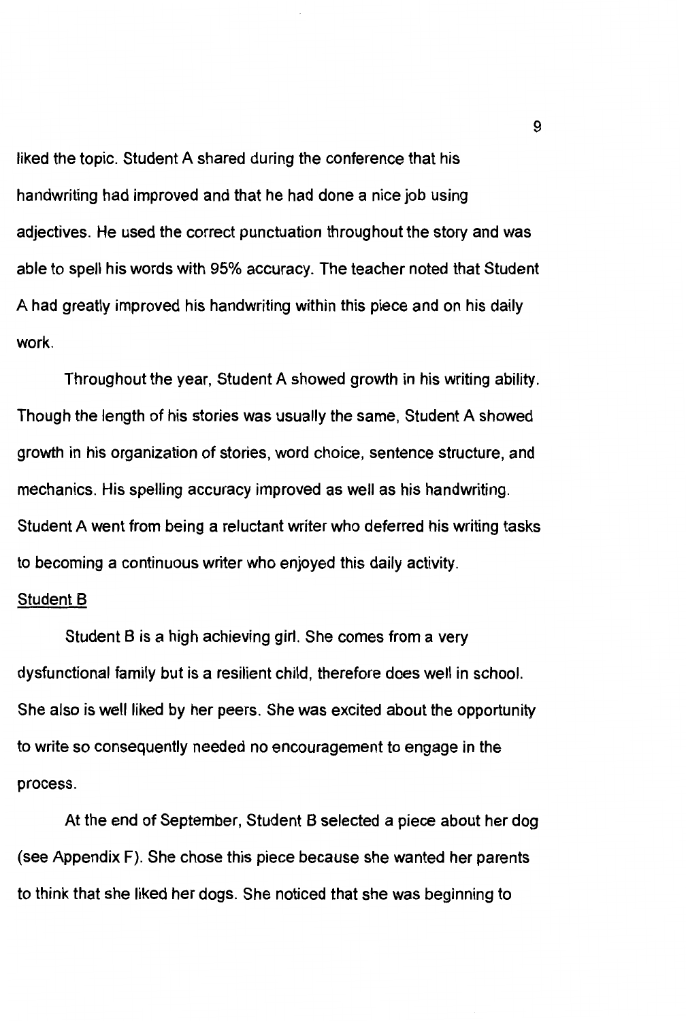liked the topic. Student A shared during the conference that his handwriting had improved and that he had done a nice job using adjectives. He used the correct punctuation throughout the story and was able to spell his words with 95% accuracy. The teacher noted that Student A had greatly improved his handwriting within this piece and on his daily work.

Throughout the year, Student A showed growth in his writing ability. Though the length of his stories was usually the same, Student A showed growth in his organization of stories, word choice, sentence structure, and mechanics. His spelling accuracy improved as well as his handwriting. Student A went from being a reluctant writer who deferred his writing tasks to becoming a continuous writer who enjoyed this daily activity.

#### Student B

Student B is a high achieving girl. She comes from a very dysfunctional family but is a resilient child, therefore does well in school. She also is well liked by her peers. She was excited about the opportunity to write so consequently needed no encouragement to engage in the process.

At the end of September, Student B selected a piece about her dog (see Appendix F). She chose this piece because she wanted her parents to think that she liked her dogs. She noticed that she was beginning to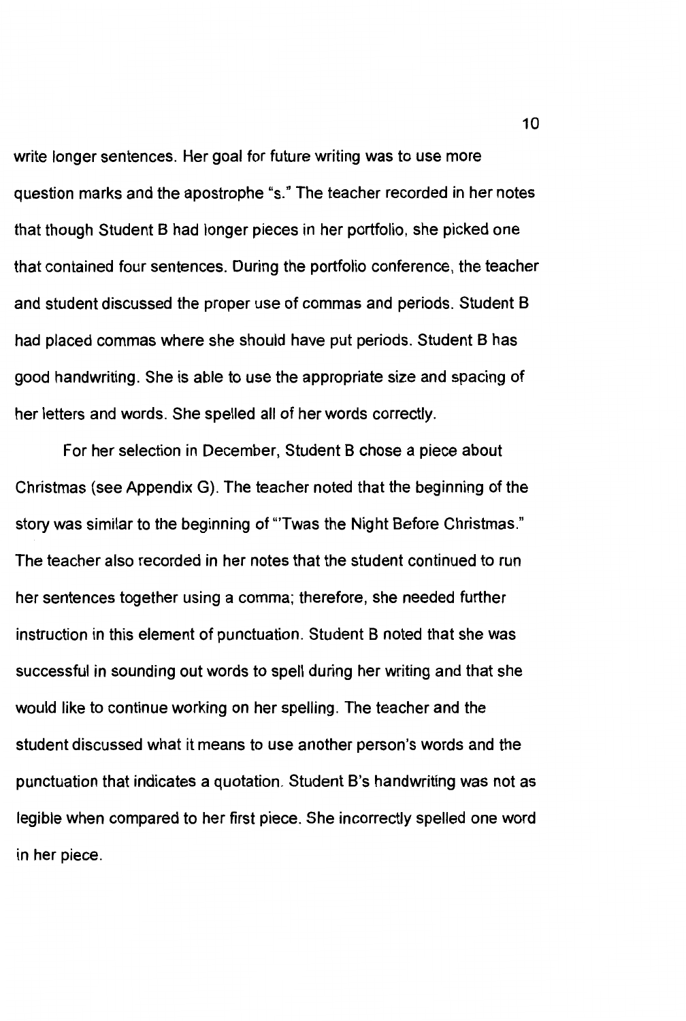write longer sentences. Her goal for future writing was to use more question marks and the apostrophe "s." The teacher recorded in her notes that though Student B had longer pieces in her portfolio, she picked one that contained four sentences. During the portfolio conference, the teacher and student discussed the proper use of commas and periods. Student B had placed commas where she should have put periods. Student B has good handwriting. She is able to use the appropriate size and spacing of her letters and words. She spelled all of her words correctly.

For her selection in December, Student B chose a piece about Christmas (see Appendix G). The teacher noted that the beginning of the story was similar to the beginning of "Twas the Night Before Christmas." The teacher also recorded in her notes that the student continued to run her sentences together using a comma; therefore, she needed further instruction in this element of punctuation. Student B noted that she was successful in sounding out words to spell during her writing and that she would like to continue working on her spelling. The teacher and the student discussed what it means to use another person's words and the punctuation that indicates a quotation. Student B's handwriting was not as legible when compared to her first piece. She incorrectly spelled one word in her piece.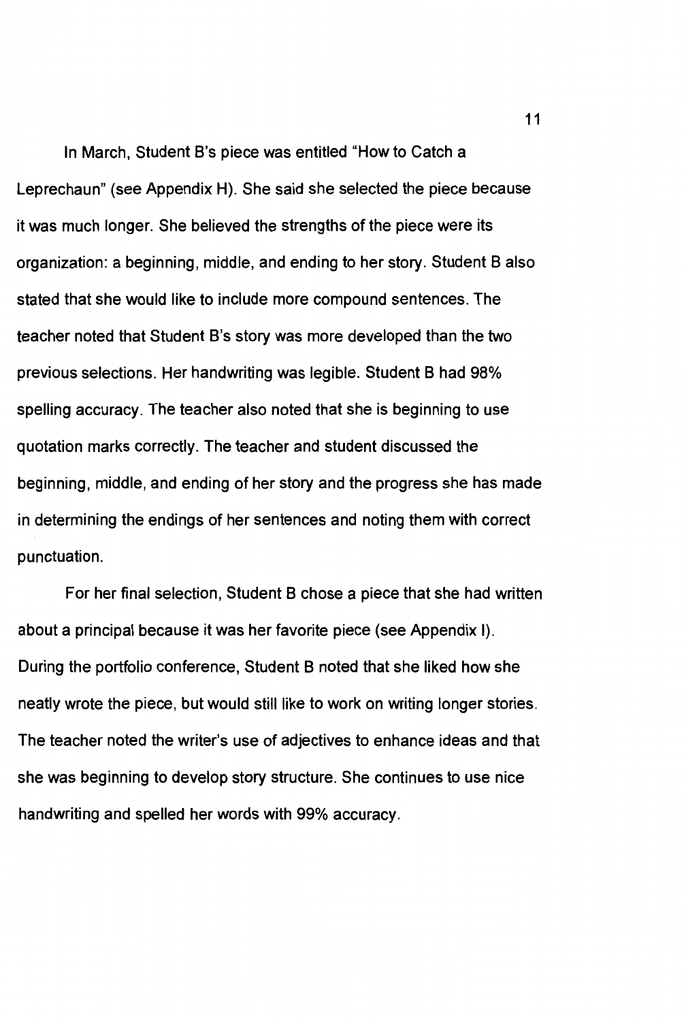In March, Student B's piece was entitled "How to Catch a Leprechaun" (see Appendix H). She said she selected the piece because it was much longer. She believed the strengths of the piece were its organization: a beginning, middle, and ending to her story. Student B also stated that she would like to include more compound sentences. The teacher noted that Student B's story was more developed than the two previous selections. Her handwriting was legible. Student B had 98% spelling accuracy. The teacher also noted that she is beginning to use quotation marks correctly. The teacher and student discussed the beginning, middle, and ending of her story and the progress she has made in determining the endings of her sentences and noting them with correct punctuation.

For her final selection, Student B chose a piece that she had written about a principal because it was her favorite piece (see Appendix I). During the portfolio conference, Student B noted that she liked how she neatly wrote the piece, but would still like to work on writing longer stories. The teacher noted the writer's use of adjectives to enhance ideas and that she was beginning to develop story structure. She continues to use nice handwriting and spelled her words with 99% accuracy.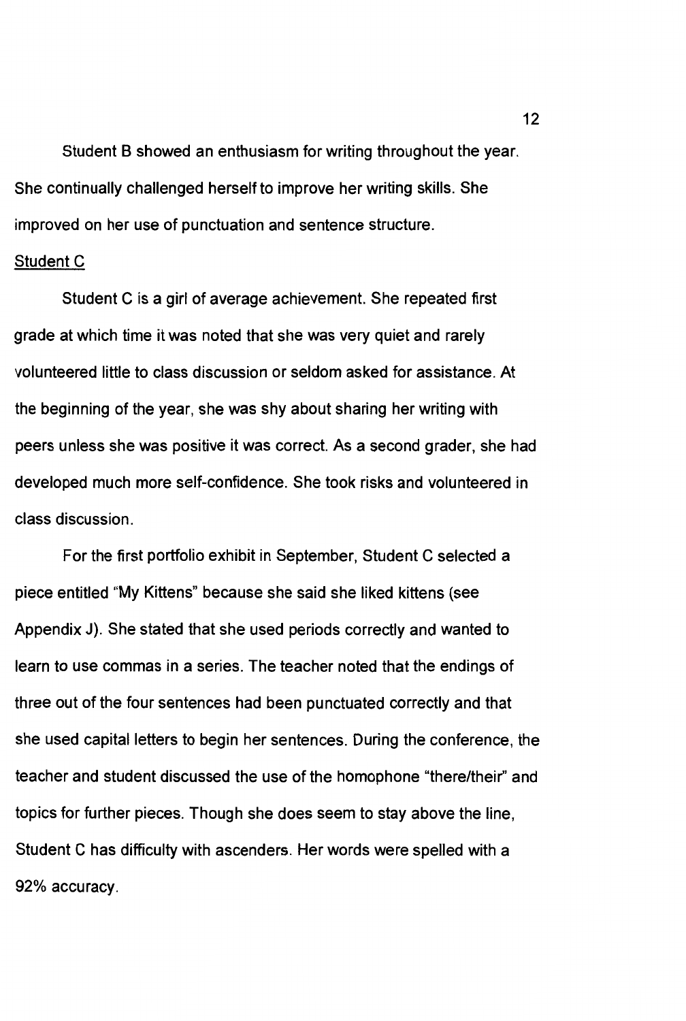Student B showed an enthusiasm for writing throughout the year. She continually challenged herself to improve her writing **skills.** She improved on her use of punctuation and sentence structure.

#### Student C

Student C is a girl of average achievement. She repeated first grade at which time it was noted that she was very quiet and rarely volunteered little to class discussion or seldom asked for assistance. At the beginning of the year, she was shy about sharing her writing with peers unless she was positive it was correct. As a second grader, she had developed much more self-confidence. She took risks and volunteered in class discussion.

For the first portfolio exhibit in September, Student C selected a piece entitled "My Kittens" because she said she liked kittens (see Appendix J). She stated that she used periods correctly and wanted to learn to use commas in a series. The teacher noted that the endings of three out of the four sentences had been punctuated correctly and that she used capital letters to begin her sentences. During the conference, the teacher and student discussed the use of the homophone "there/their" and topics for further pieces. Though she does seem to stay above the line, Student C has difficulty with ascenders. Her words were spelled with a 92% accuracy.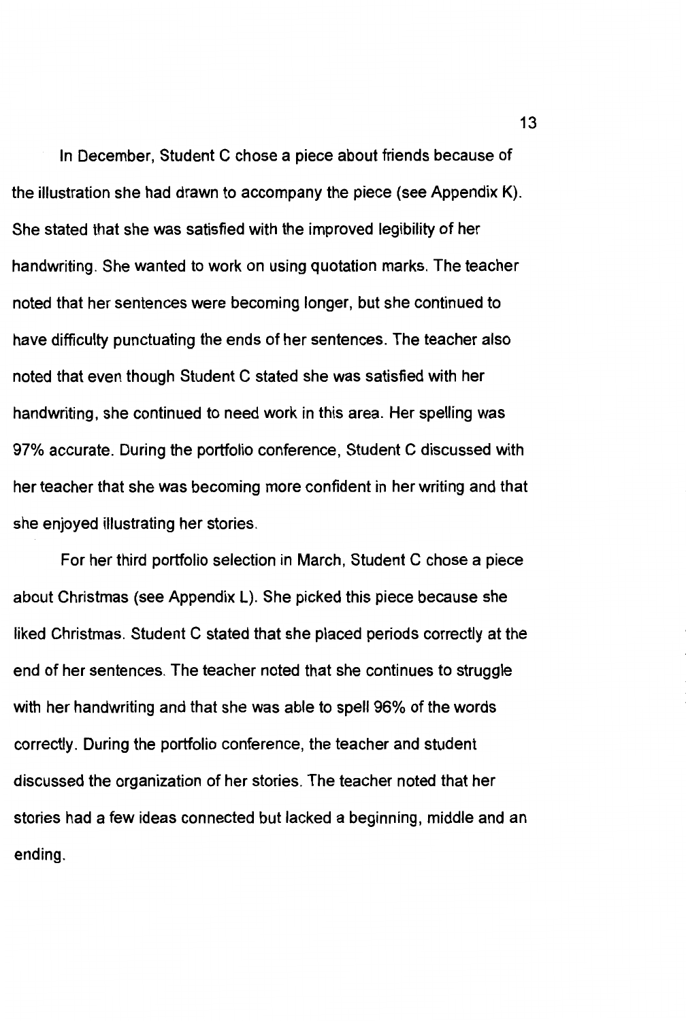In December, Student C chose a piece about friends because of the illustration she had drawn to accompany the piece (see Appendix K). She stated that she was satisfied with the improved legibility of her handwriting. She wanted to work on using quotation marks. The teacher noted that her sentences were becoming longer, but she continued to have difficulty punctuating the ends of her sentences. The teacher also noted that even though Student C stated she was satisfied with her handwriting, she continued to need work in this area. Her spelling was 97% accurate. During the portfolio conference, Student C discussed with her teacher that she was becoming more confident in her writing and that she enjoyed illustrating her stories.

For her third portfolio selection in March, Student C chose a piece about Christmas (see Appendix L). She picked this piece because she liked Christmas. Student C stated that she placed periods correctly at the end of her sentences. The teacher noted that she continues to struggle with her handwriting and that she was able to spell 96% of the words correctly. During the portfolio conference, the teacher and student discussed the organization of her stories. The teacher noted that her stories had a few ideas connected but lacked a beginning, middle and an ending.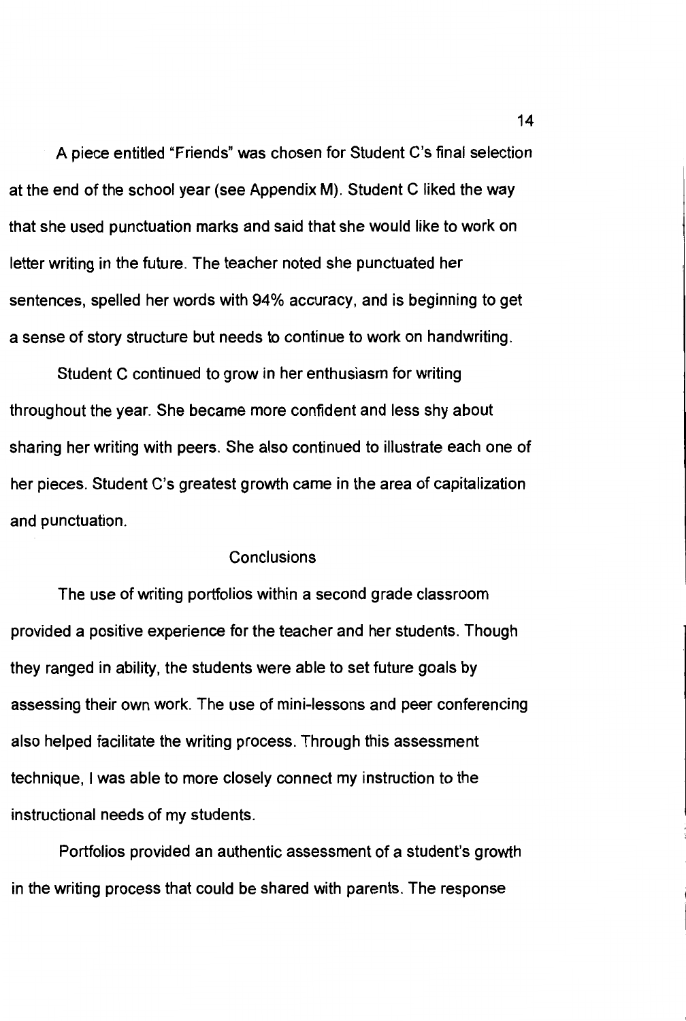A piece entitled "Friends" was chosen for Student C's final selection at the end of the school year (see Appendix M}. Student C liked the way that she used punctuation marks and said that she would like to work on letter writing in the future. The teacher noted she punctuated her sentences, spelled her words with 94% accuracy, and is beginning to get a sense of story structure but needs to continue to work on handwriting.

Student C continued to grow in her enthusiasm for writing throughout the year. She became more confident and less shy about sharing her writing with peers. She also continued to illustrate each one of her pieces. Student C's greatest growth came in the area of capitalization and punctuation.

# **Conclusions**

The use of writing portfolios within a second grade classroom provided a positive experience for the teacher and her students. Though they ranged in ability, the students were able to set future goals by assessing their own work. The use of mini-lessons and peer conferencing also helped facilitate the writing process. Through this assessment technique, I was able to more closely connect my instruction to the instructional needs of my students.

Portfolios provided an authentic assessment of a student's growth in the writing process that could be shared with parents. The response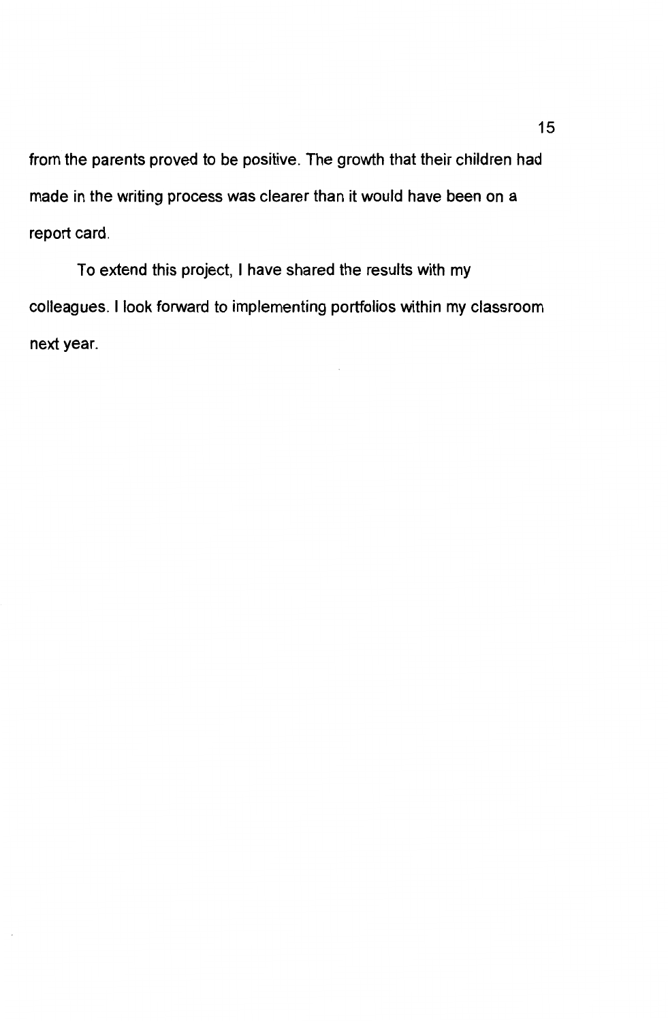from the parents proved to be positive. The growth that their children had made in the writing process was clearer than it would have been on a report card.

To extend this project, I have shared the results with my colleagues. I look forward to implementing portfolios within my classroom next year.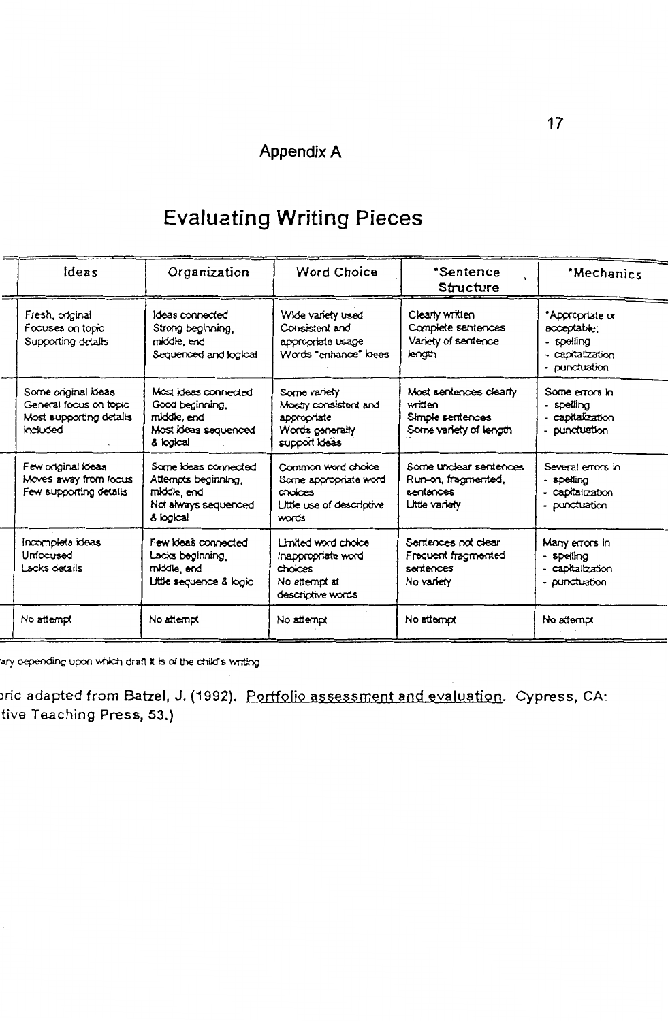# Appendix A

# **Evaluating Writing Pieces**

| <b>deas</b>                                                                          | Organization                                                                                    | Word Choice                                                                                  | *Sentence<br>Structure                                                          | *Mechanics                                                                               |
|--------------------------------------------------------------------------------------|-------------------------------------------------------------------------------------------------|----------------------------------------------------------------------------------------------|---------------------------------------------------------------------------------|------------------------------------------------------------------------------------------|
| Fresh, original<br>Focuses on topic<br>Supporting details                            | Ideas connected<br>Strong beginning.<br>middle, end<br>Sequenced and logical                    | Wide variety used<br>Consistent and<br>appropriate usage<br>Words "enhance" loees            | Clearly written<br>Complete sentences<br>Variety of sentence<br>length          | *Appropriate or<br>acceptable;<br>- spelling<br>- <b>capitalization</b><br>- punctuation |
| Some original ideas<br>General focus on topic<br>Most supporting details<br>included | Most ideas connected<br>Good beginning.<br>middle, end<br>Most ideas sequenced<br>& logical     | Some variety<br>Mostly consistent and<br>appropriate<br>Words generally<br>support Ideas     | Most sentences clearly<br>written<br>Simple sentences<br>Some variety of length | Some errors in<br>- spelling<br>- capitalization<br>- punctuation                        |
| Few original ideas<br>Moves away from focus<br>Few supporting details                | Some ideas connected<br>Attempts beginning,<br>middle, end<br>Not always sequenced<br>& logical | Common word choice<br>Some appropriate word<br>choices<br>Little use of descriptive<br>words | Some unclear sentences<br>Run-on, fragmented,<br>sentences<br>Little variety    | Several errors in<br>- spelling<br>- capitalization<br>- punctuation                     |
| Incomplete ideas<br>Unfocused<br>Lacks details                                       | Few ideas connected<br>Lacks beginning,<br>middie, end<br>Little sequence & logic               | Limited word choice<br>Inappropriate word<br>choices<br>No attempt at<br>descriptive words   | Sentences not clear<br>Frequent fragmented<br>sentences<br>No variety           | Many errors in<br>- speling<br>- capitalization<br>- punctuation                         |
| No attempt                                                                           | No atternot                                                                                     | No attempt                                                                                   | No attempt                                                                      | No attempt                                                                               |

ary depending upon which draft it is of the child's writing

oric adapted from Batzel, J. (1992). Portfolio assessment and evaluation. Cypress, CA: tive Teaching Press, 53.)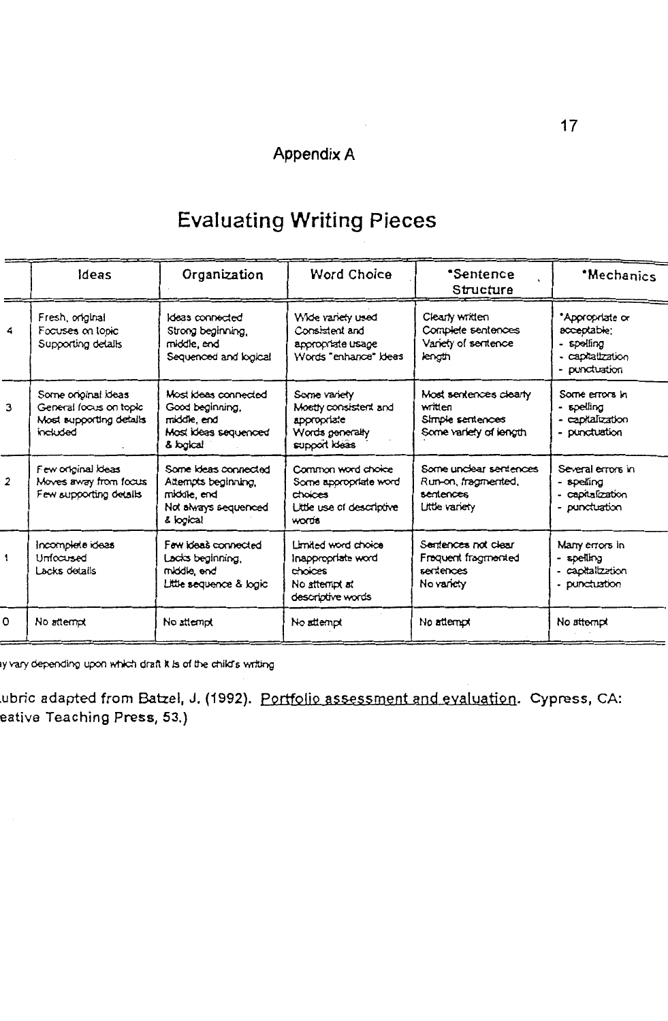# **Evaluating Writing Pieces**

|                | ldeas                                                                                | Organization                                                                                    | <b>Word Choice</b>                                                                           | <i><b>*Sentence</b></i><br>Structure                                            | *Mechanics                                                                        |
|----------------|--------------------------------------------------------------------------------------|-------------------------------------------------------------------------------------------------|----------------------------------------------------------------------------------------------|---------------------------------------------------------------------------------|-----------------------------------------------------------------------------------|
| 4              | Fresh, original<br>Focuses on topic<br>Supporting details                            | Ideas connected<br>Strong beginning.<br>middle, end<br>Sequenced and logical                    | Wide variety used<br>Consistent and<br>appropriate usage<br>Words "enhance" ideas            | Clearly written<br>Complete sentences<br>Variety of sentence<br>length          | *Appropriate or<br>acceptable;<br>- spelling<br>- capitalization<br>- punctuation |
| 3              | Some original ideas<br>General focus on topic<br>Most supporting details<br>included | Most Ideas connected<br>Good beginning.<br>middle, end<br>Most ideas sequenced<br>& logical     | Some variety<br>Mostly consistent and<br>appropriate<br>Words generally<br>support Ideas     | Most sentences clearly<br>written<br>Simple sentences<br>Some variety of length | Some errors in<br>- spelling<br>- capitalization<br>- punctuation                 |
| $\overline{2}$ | Few original ideas<br>Moves away from focus<br>Few supporting details                | Some ideas connected<br>Attempts beginning,<br>middle, end<br>Not always sequenced<br>& logical | Common word choice<br>Some appropriate word<br>choices<br>Little use of descriptive<br>words | Some unclear sentences<br>Run-on, fragmented,<br>sentences<br>Little variety    | Several errors in<br>- spelling<br>- capitalization<br>- punctuation              |
| 1              | Incomplete ideas<br>Unfocused<br>Lacks details                                       | Few ideas connected<br>Lacks beginning,<br>middle, end<br>Little sequence & logic               | Limited word choice<br>Inappropriate word<br>choices<br>No attempt at<br>descriptive words   | Sentences not clear<br>Frequent fragmented<br>sentences<br>No variety           | Many errors in<br>- spelling<br>- capitalization<br>- punctuation                 |
| $\Omega$       | No attempt                                                                           | No attempt                                                                                      | No attempt                                                                                   | No attempt                                                                      | No atternot                                                                       |

ay vary depending upon which draft it is of the child's writing

ubric adapted from Batzel, J. (1992). <u>Portfolio assessment and evaluation</u>. Cypress, CA: eative Teaching Pre<mark>ss, 53.)</mark>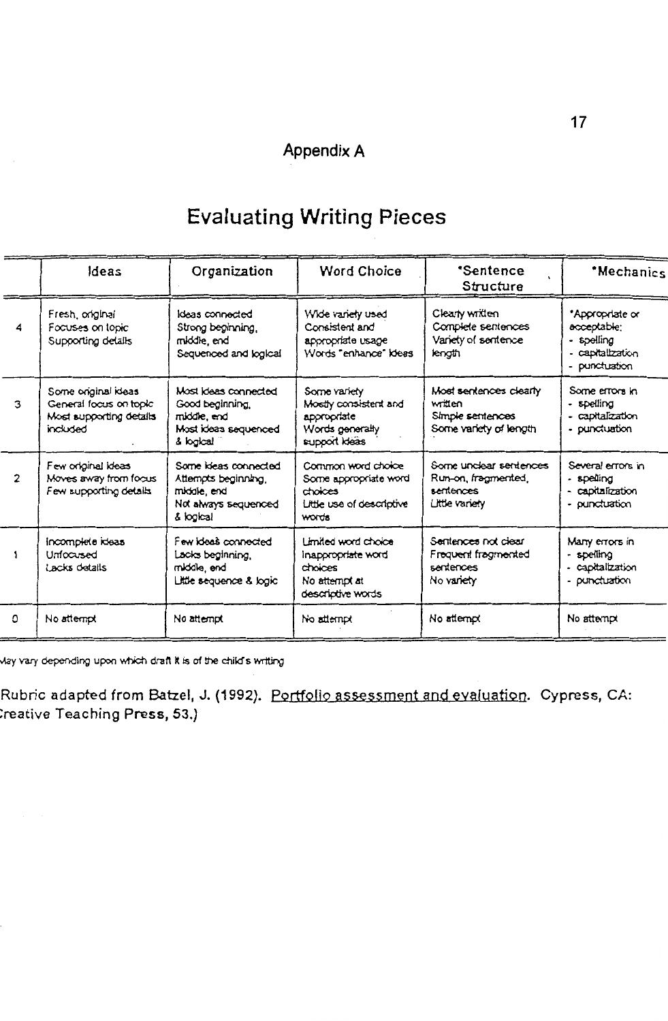# **Appendix A**

# **Evaluating Writing Pieces**

|                | ldeas                                                                                | Organization                                                                                    | <b>Word Choice</b>                                                                                | <i><b>*Sentence</b></i><br>Structure                                            | *Mechanics                                                                        |
|----------------|--------------------------------------------------------------------------------------|-------------------------------------------------------------------------------------------------|---------------------------------------------------------------------------------------------------|---------------------------------------------------------------------------------|-----------------------------------------------------------------------------------|
| 4              | Fresh, original<br>Focuses on topic<br>Supporting details                            | Ideas connected<br>Strong beginning.<br>middle, end<br>Sequenced and logical                    | Wide variety used<br>Consistent and<br>appropriate usage<br>Words "enhance" Ideas                 | Clearly written<br>Complete sentences<br>Variety of sentence<br>length          | *Appropriate or<br>acceptable:<br>- spelling<br>- capitalization<br>- punctuation |
| 3              | Some original ideas<br>General focus on topic<br>Most supporting details<br>included | Most ideas connected<br>Good beginning.<br>middle, end<br>Most ideas sequenced<br>& logical     | Some variety<br>Mostly consistent and<br>aporooriate<br>Words generally<br>support ideas          | Most sentences clearly<br>written<br>Simple sentences<br>Some variety of length | Some errors in<br>- spelling<br>- capitalization<br>- punctuation                 |
| $\overline{2}$ | Few original ideas<br>Moves away from focus<br>Few supporting details                | Some ideas connected<br>Attempts beginning,<br>middie, end<br>Not always sequenced<br>& logical | Common word choice<br>Some appropriate word<br>choices<br>Little use of descriptive<br>words      | Some unclear sentences<br>Run-on, fragmented,<br>sentences<br>Little variety    | Several errors in<br>- spelling<br>- capitalization<br>- punctuation              |
|                | incomplete ideas<br>Unfocused<br>Lacks details                                       | Few ideas connected<br>Lacks beginning,<br>middle, end<br>Little sequence & logic               | <b>Limited word choice</b><br>inappropriate word<br>choices<br>No attempt at<br>descriptive words | Sentences not clear<br>Frequent fragmented<br>sentences<br>No variety           | Many errors in<br>- spelling<br>- capitalization<br>- punctuation                 |
| $\Omega$       | No attempt                                                                           | No attempt                                                                                      | No attempt                                                                                        | No attempt                                                                      | No atternot                                                                       |

May vary depending upon which draft it is of the child's writing

Rubric adapted from Batzel, J. (1992). Portfolio assessment and evaluation. Cypress, CA: :reative Teaching Press, 53.)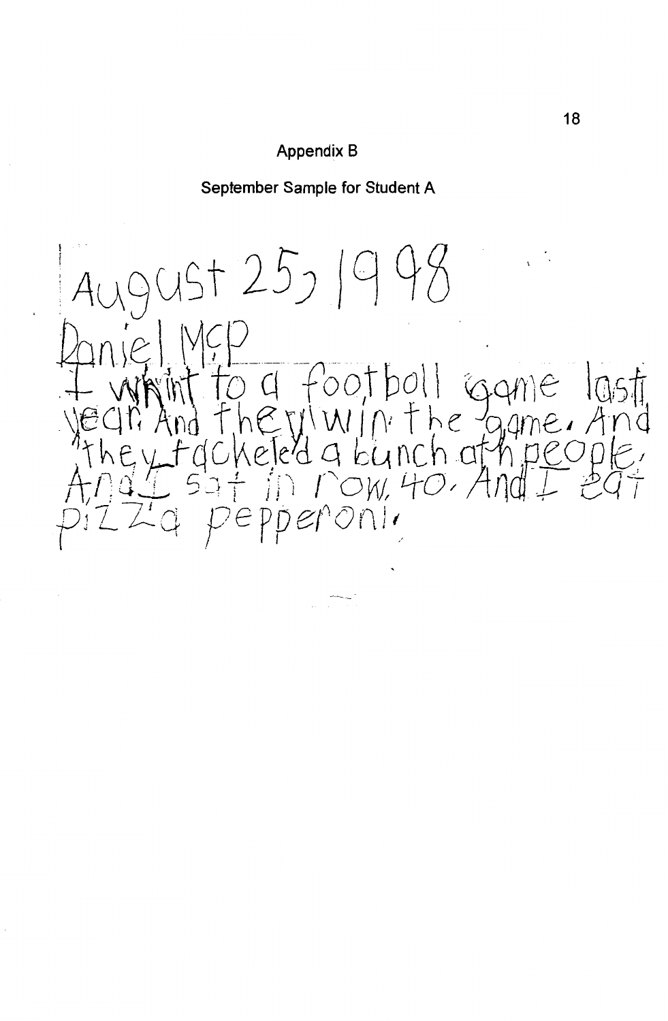# Appendix B

September Sample for Student A

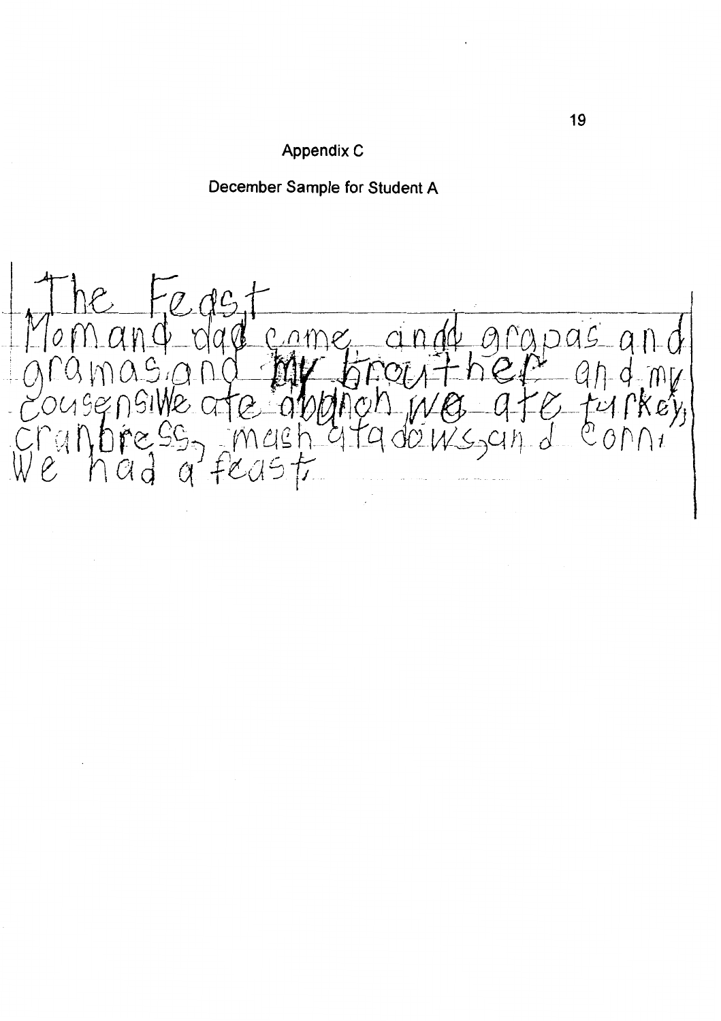

December Sample for Student A

oas  $0.011$ Q. KIS  $C\vert C$  $\bigcap$   $t$  $\mathbf{r}$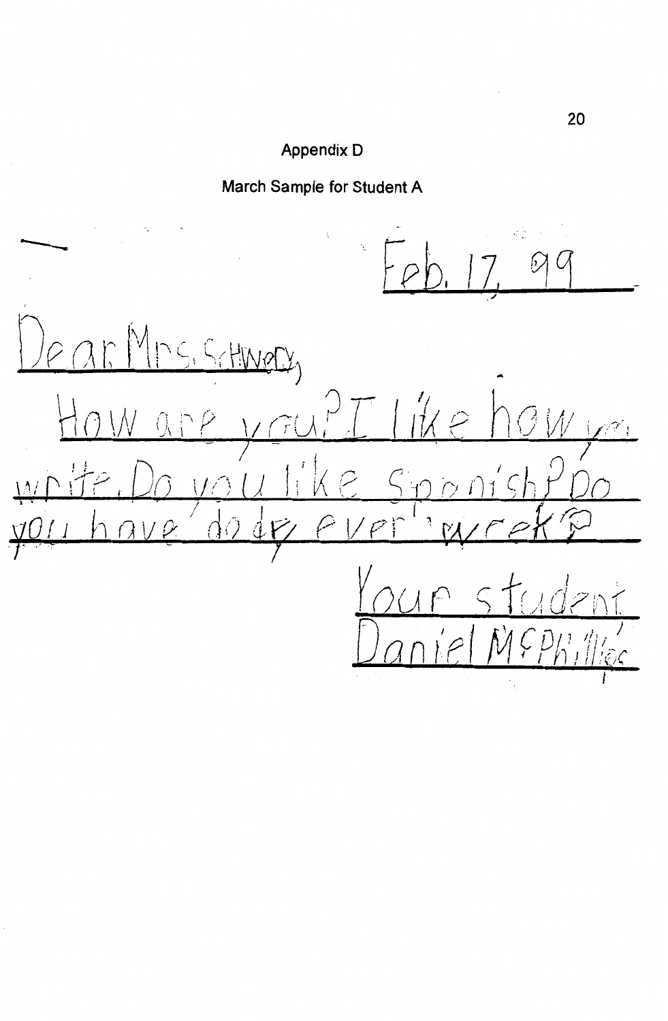# Appendix D

March Sample for Student A

 $Dear$ <u>Yrs. Schwery</u> you?  $H_{0}$  $WQ$  $\mathbb{Z}^{\widetilde{\otimes}_{\mathbb{L}}}$  $k \in$  $1/\bigcap$  $\sqrt{2}$  $d\mathcal{F}$  $\epsilon$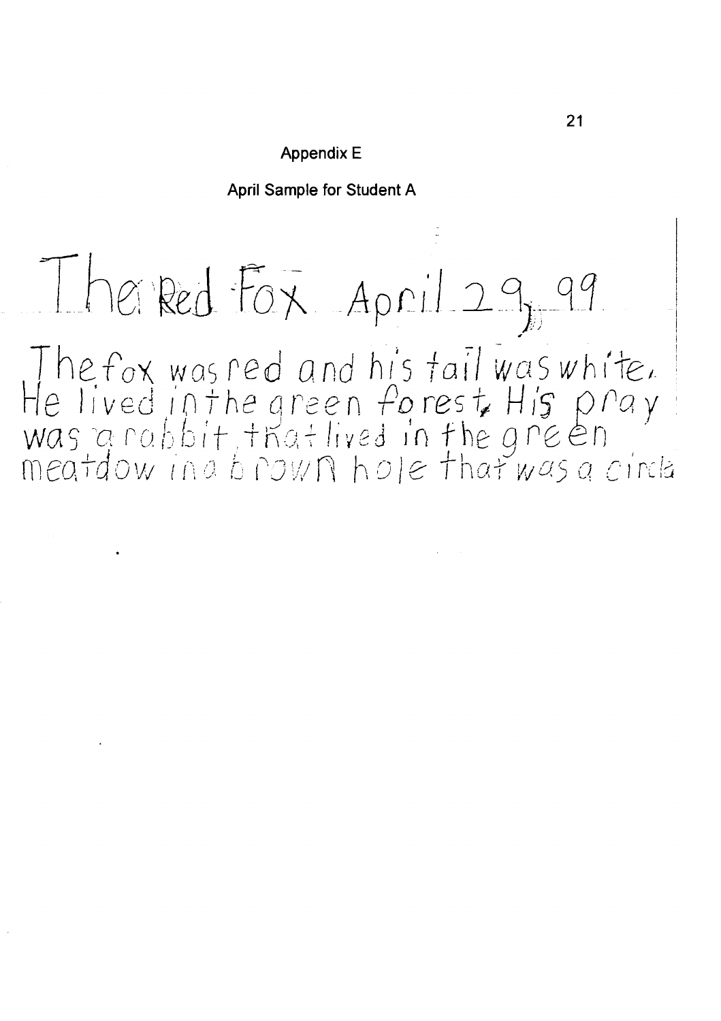# Appendix E

April Sample for Student A

# Therred Fox April 29, 99

The fox was red and his tail was white.<br>He lived in the green forest His pray<br>was a rabbit, that lived in the green<br>meatdow in a brown hole that was a circle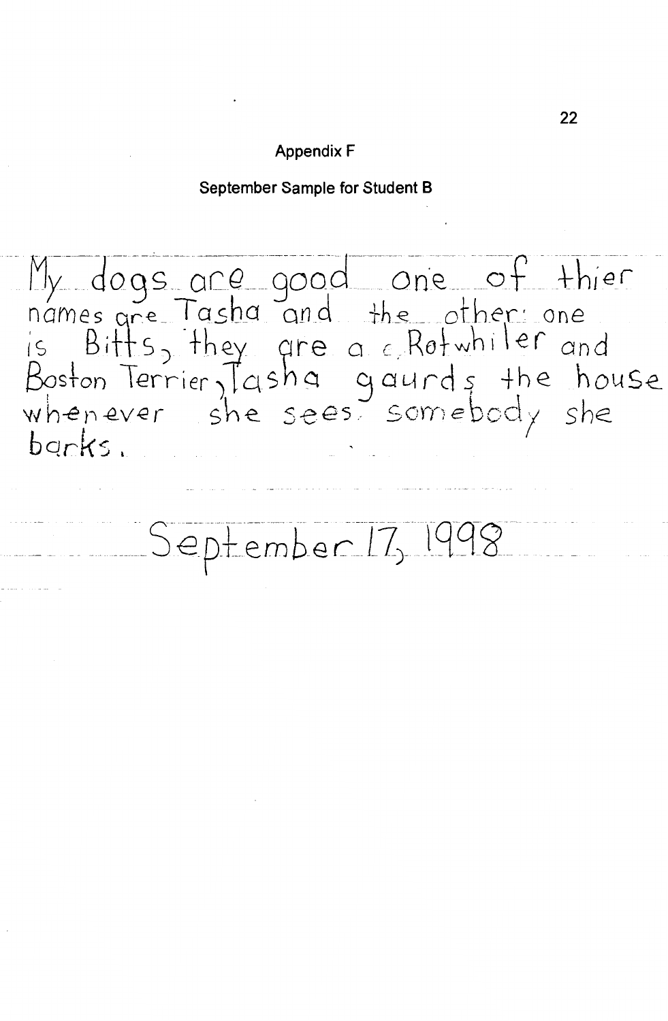# **Appendix F**

September Sample for Student B

My dogs are good one of thier<br>names are Tasha and the other one<br>is Bitts, they are a cRotwhiler and<br>Boston Terrier, Tasha gaurds the house<br>whenever she sees somebody she barks.

September 17, 1998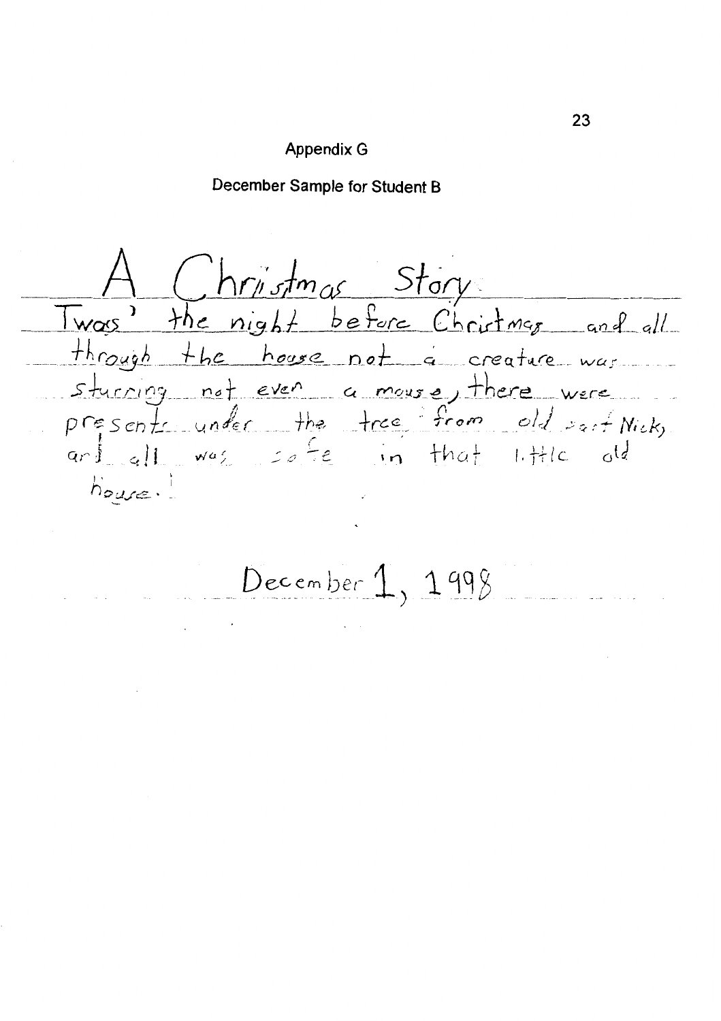### **Appendix G**

December Sample for Student B

Christmas Story Twas' the night before Christmas and all through the house not a creature was sturring not even a mouse, there were presents under the tree from old sait Nick,  $\lceil \frac{1}{\lfloor \frac{n}{2} \rfloor} \rceil$  was so fe in that little لواء  $h_{over}$ 

December  $1, 1998$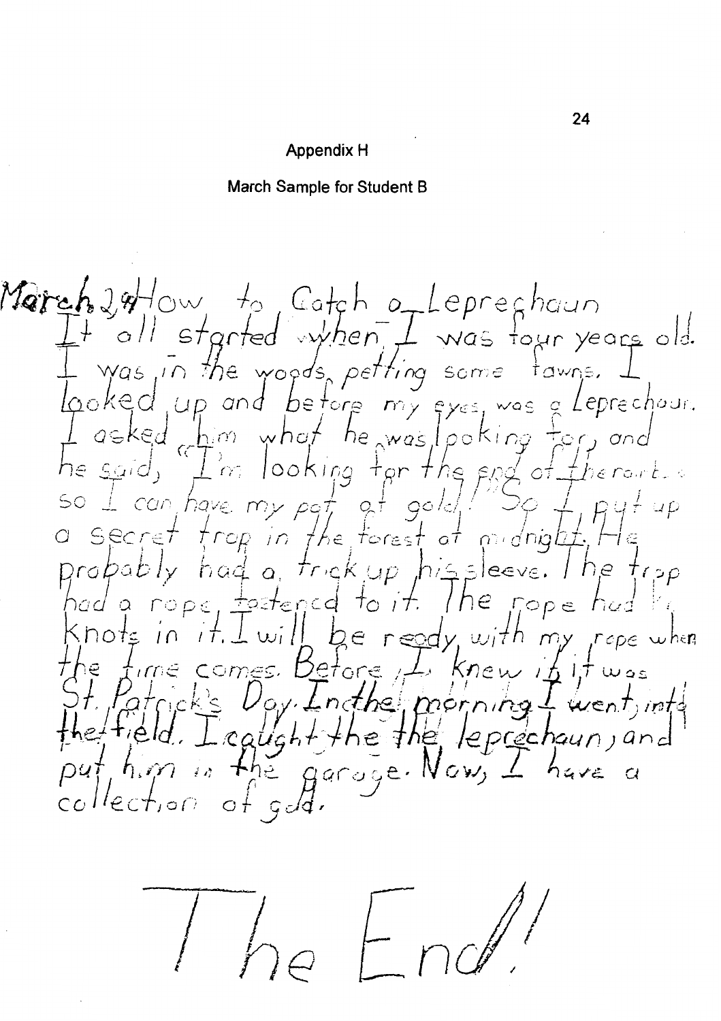# Appendix H

# March Sample for Student B

March 24 ow to Catch of Lepreghaun<br>It all started when, I was tour years old. It all started withen I was tour years old.<br>I was in the woods petting some tawns. I<br>looked up and before my eyes was a Leprechaur.<br>Tasked which the was looking tor, and<br>the said, I'm looking for the end of therarts<br>so I c Patrick's Day. Insthe programs I went, into the field. I caught the the leprechaun, and<br>put, him in the garage. Now, I have a collection of gold.

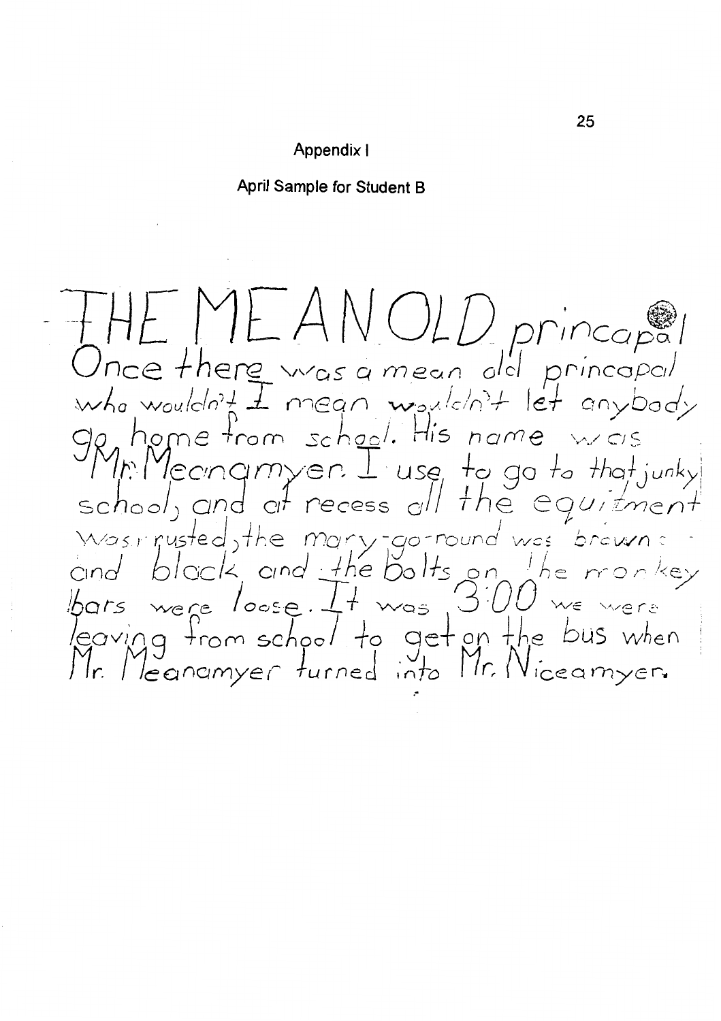# Appendix I

April Sample for Student B

THE ME ANOLD princapal<br>Once there was a mean old princapal<br>who wouldn't I mean wouldn't let anybody<br>Op home from school. His name was<br>Shown and only recess of the equipment<br>was rusted, the mary-go-round was brown :<br>and blo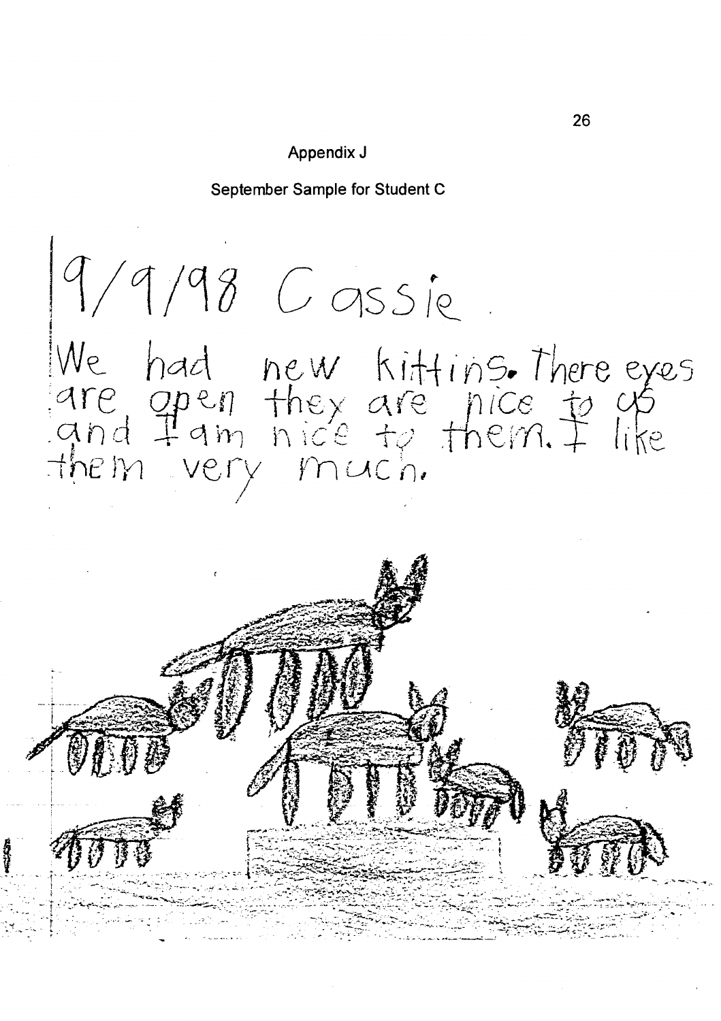# Appendix J

September Sample for Student C

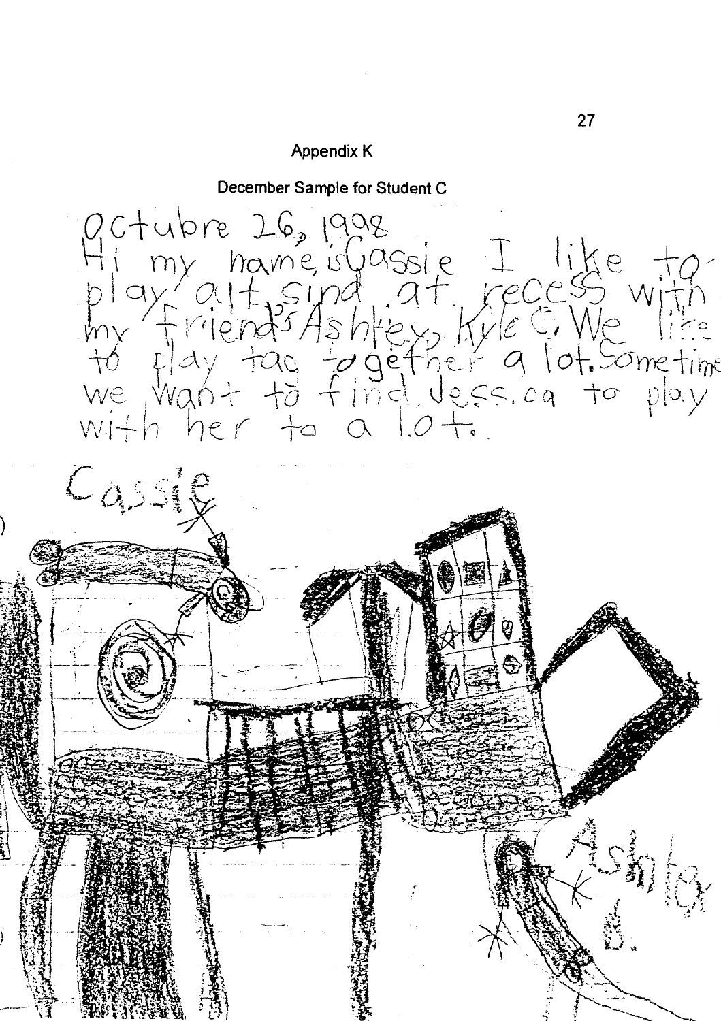# **Appendix K**

December Sample for Student C



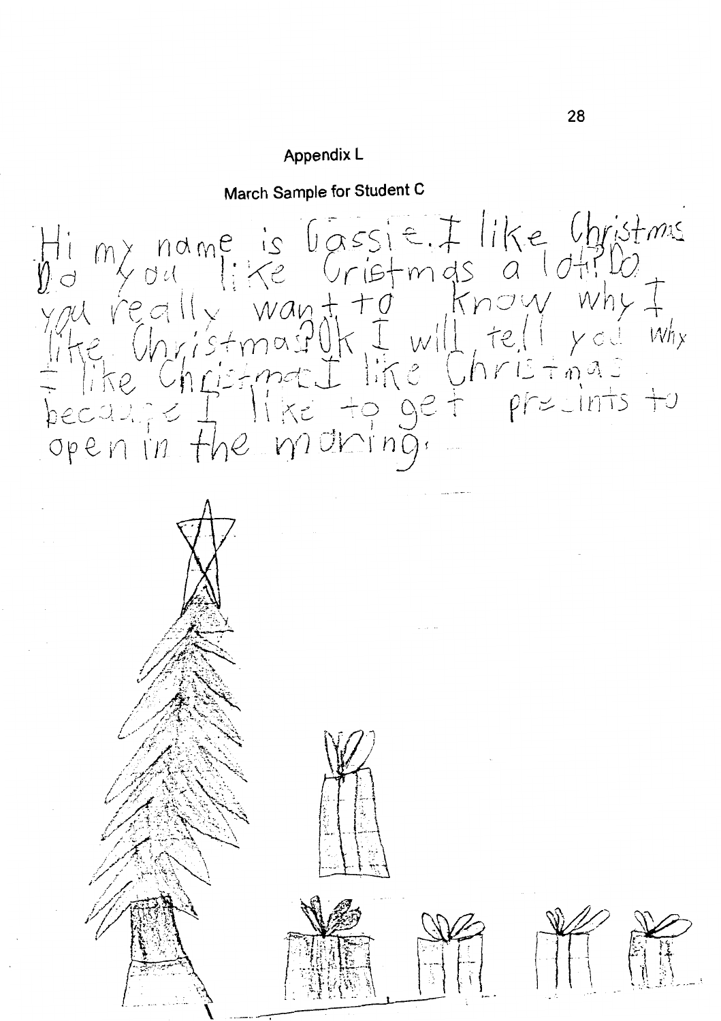# Appendix L

March Sample for Student C

Him name is lassie. I like Christmus<br>you really want to know why I<br>like Christmas UK I will tell you why<br>the Christmas I like Christmas<br>because I like to get presints to<br>open in the moderng.